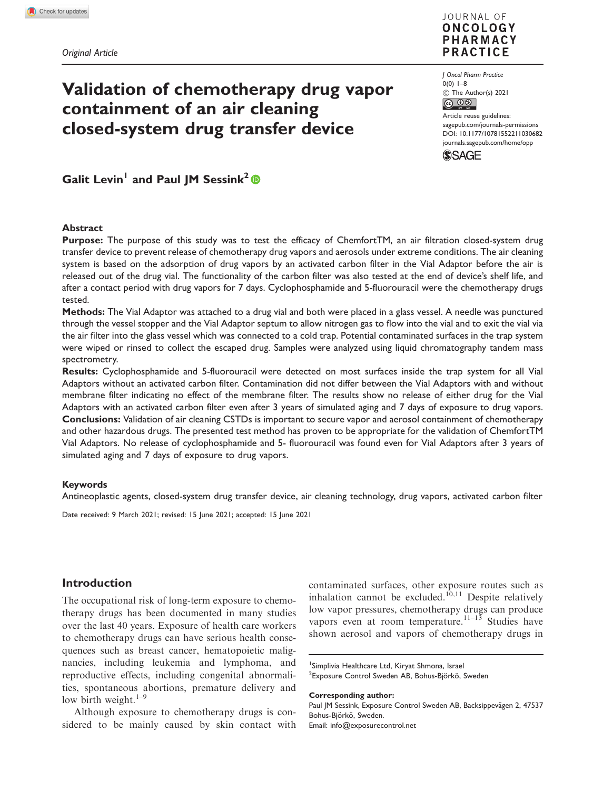# Validation of chemotherapy drug vapor containment of an air cleaning closed-system drug transfer device



J Oncol Pharm Practice  $0(0)$  1–8  $\circled{c}$  The Author(s) 2021

Article reuse guidelines: [sagepub.com/journals-permissions](http://uk.sagepub.com/en-gb/journals-permissions) [DOI: 10.1177/10781552211030682](http://dx.doi.org/10.1177/10781552211030682) <journals.sagepub.com/home/opp>



Galit Levin<sup>1</sup> and Paul JM Sessink<sup>2</sup>

#### Abstract

Purpose: The purpose of this study was to test the efficacy of ChemfortTM, an air filtration closed-system drug transfer device to prevent release of chemotherapy drug vapors and aerosols under extreme conditions. The air cleaning system is based on the adsorption of drug vapors by an activated carbon filter in the Vial Adaptor before the air is released out of the drug vial. The functionality of the carbon filter was also tested at the end of device's shelf life, and after a contact period with drug vapors for 7 days. Cyclophosphamide and 5-fluorouracil were the chemotherapy drugs tested.

Methods: The Vial Adaptor was attached to a drug vial and both were placed in a glass vessel. A needle was punctured through the vessel stopper and the Vial Adaptor septum to allow nitrogen gas to flow into the vial and to exit the vial via the air filter into the glass vessel which was connected to a cold trap. Potential contaminated surfaces in the trap system were wiped or rinsed to collect the escaped drug. Samples were analyzed using liquid chromatography tandem mass spectrometry.

Results: Cyclophosphamide and 5-fluorouracil were detected on most surfaces inside the trap system for all Vial Adaptors without an activated carbon filter. Contamination did not differ between the Vial Adaptors with and without membrane filter indicating no effect of the membrane filter. The results show no release of either drug for the Vial Adaptors with an activated carbon filter even after 3 years of simulated aging and 7 days of exposure to drug vapors. Conclusions: Validation of air cleaning CSTDs is important to secure vapor and aerosol containment of chemotherapy and other hazardous drugs. The presented test method has proven to be appropriate for the validation of ChemfortTM Vial Adaptors. No release of cyclophosphamide and 5- fluorouracil was found even for Vial Adaptors after 3 years of simulated aging and 7 days of exposure to drug vapors.

#### Keywords

Antineoplastic agents, closed-system drug transfer device, air cleaning technology, drug vapors, activated carbon filter

Date received: 9 March 2021; revised: 15 June 2021; accepted: 15 June 2021

# Introduction

The occupational risk of long-term exposure to chemotherapy drugs has been documented in many studies over the last 40 years. Exposure of health care workers to chemotherapy drugs can have serious health consequences such as breast cancer, hematopoietic malignancies, including leukemia and lymphoma, and reproductive effects, including congenital abnormalities, spontaneous abortions, premature delivery and low birth weight. $1-9$ 

Although exposure to chemotherapy drugs is considered to be mainly caused by skin contact with contaminated surfaces, other exposure routes such as inhalation cannot be excluded.<sup>10,11</sup> Despite relatively low vapor pressures, chemotherapy drugs can produce vapors even at room temperature.<sup>11–13</sup> Studies have shown aerosol and vapors of chemotherapy drugs in

Corresponding author:

<sup>&</sup>lt;sup>1</sup> Simplivia Healthcare Ltd, Kiryat Shmona, Israel <sup>2</sup> Exposure Control Sweden AB, Bohus-Björkö, Sweden

Paul JM Sessink, Exposure Control Sweden AB, Backsippevägen 2, 47537 Bohus-Björkö, Sweden. Email: [info@exposurecontrol.net](mailto:info@exposurecontrol.net)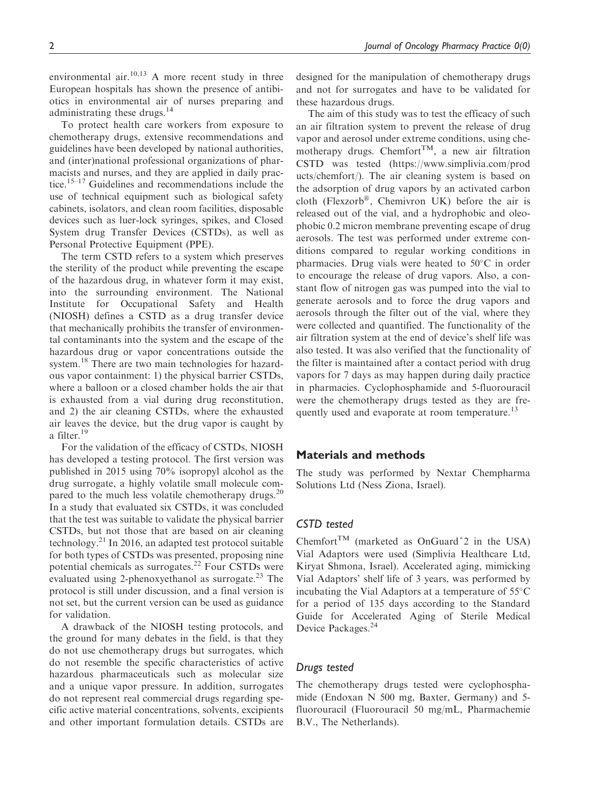environmental air.<sup>10,13</sup> A more recent study in three European hospitals has shown the presence of antibiotics in environmental air of nurses preparing and administrating these drugs.<sup>14</sup>

To protect health care workers from exposure to chemotherapy drugs, extensive recommendations and guidelines have been developed by national authorities, and (inter)national professional organizations of pharmacists and nurses, and they are applied in daily practice.15–17 Guidelines and recommendations include the use of technical equipment such as biological safety cabinets, isolators, and clean room facilities, disposable devices such as luer-lock syringes, spikes, and Closed System drug Transfer Devices (CSTDs), as well as Personal Protective Equipment (PPE).

The term CSTD refers to a system which preserves the sterility of the product while preventing the escape of the hazardous drug, in whatever form it may exist, into the surrounding environment. The National Institute for Occupational Safety and Health (NIOSH) defines a CSTD as a drug transfer device that mechanically prohibits the transfer of environmental contaminants into the system and the escape of the hazardous drug or vapor concentrations outside the system.<sup>18</sup> There are two main technologies for hazardous vapor containment: 1) the physical barrier CSTDs, where a balloon or a closed chamber holds the air that is exhausted from a vial during drug reconstitution, and 2) the air cleaning CSTDs, where the exhausted air leaves the device, but the drug vapor is caught by a filter.<sup>19</sup>

For the validation of the efficacy of CSTDs, NIOSH has developed a testing protocol. The first version was published in 2015 using 70% isopropyl alcohol as the drug surrogate, a highly volatile small molecule compared to the much less volatile chemotherapy drugs.<sup>20</sup> In a study that evaluated six CSTDs, it was concluded that the test was suitable to validate the physical barrier CSTDs, but not those that are based on air cleaning technology.<sup>21</sup> In 2016, an adapted test protocol suitable for both types of CSTDs was presented, proposing nine potential chemicals as surrogates.<sup>22</sup> Four CSTDs were evaluated using 2-phenoxyethanol as surrogate.<sup>23</sup> The protocol is still under discussion, and a final version is not set, but the current version can be used as guidance for validation.

A drawback of the NIOSH testing protocols, and the ground for many debates in the field, is that they do not use chemotherapy drugs but surrogates, which do not resemble the specific characteristics of active hazardous pharmaceuticals such as molecular size and a unique vapor pressure. In addition, surrogates do not represent real commercial drugs regarding specific active material concentrations, solvents, excipients and other important formulation details. CSTDs are designed for the manipulation of chemotherapy drugs and not for surrogates and have to be validated for these hazardous drugs.

The aim of this study was to test the efficacy of such an air filtration system to prevent the release of drug vapor and aerosol under extreme conditions, using chemotherapy drugs. Chemfort<sup>TM</sup>, a new air filtration CSTD was tested ([https://www.simplivia.com/prod](https://www.simplivia.com/products/chemfort/) [ucts/chemfort/\)](https://www.simplivia.com/products/chemfort/). The air cleaning system is based on the adsorption of drug vapors by an activated carbon cloth (Flexzorb®, Chemivron UK) before the air is released out of the vial, and a hydrophobic and oleophobic 0.2 micron membrane preventing escape of drug aerosols. The test was performed under extreme conditions compared to regular working conditions in pharmacies. Drug vials were heated to  $50^{\circ}$ C in order to encourage the release of drug vapors. Also, a constant flow of nitrogen gas was pumped into the vial to generate aerosols and to force the drug vapors and aerosols through the filter out of the vial, where they were collected and quantified. The functionality of the air filtration system at the end of device's shelf life was also tested. It was also verified that the functionality of the filter is maintained after a contact period with drug vapors for 7 days as may happen during daily practice in pharmacies. Cyclophosphamide and 5-fluorouracil were the chemotherapy drugs tested as they are frequently used and evaporate at room temperature.<sup>13</sup>

#### Materials and methods

The study was performed by Nextar Chempharma Solutions Ltd (Ness Ziona, Israel).

## CSTD tested

Chemfort<sup>TM</sup> (marketed as OnGuard<sup> $\hat{}$ 2 in the USA)</sup> Vial Adaptors were used (Simplivia Healthcare Ltd, Kiryat Shmona, Israel). Accelerated aging, mimicking Vial Adaptors' shelf life of 3 years, was performed by incubating the Vial Adaptors at a temperature of  $55^{\circ}$ C for a period of 135 days according to the Standard Guide for Accelerated Aging of Sterile Medical Device Packages.<sup>24</sup>

## Drugs tested

The chemotherapy drugs tested were cyclophosphamide (Endoxan N 500 mg, Baxter, Germany) and 5 fluorouracil (Fluorouracil 50 mg/mL, Pharmachemie B.V., The Netherlands).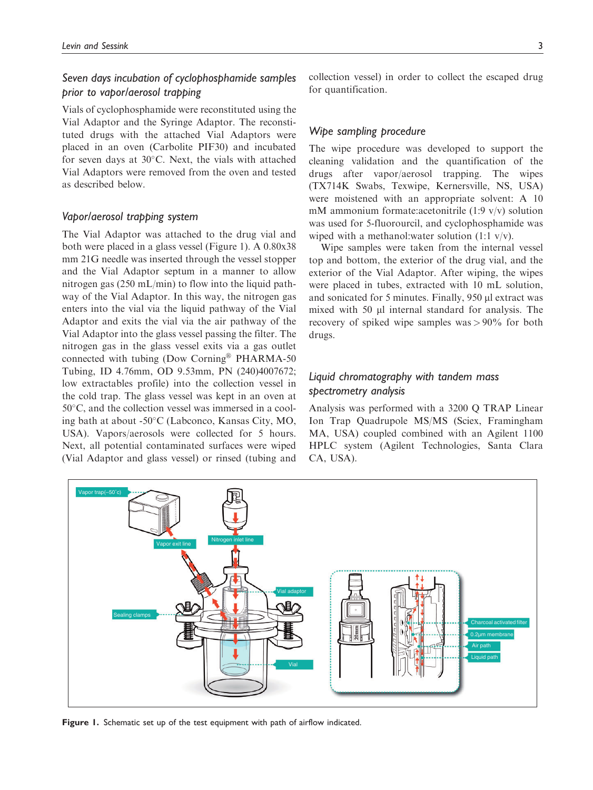# Seven days incubation of cyclophosphamide samples prior to vapor/aerosol trapping

Vials of cyclophosphamide were reconstituted using the Vial Adaptor and the Syringe Adaptor. The reconstituted drugs with the attached Vial Adaptors were placed in an oven (Carbolite PIF30) and incubated for seven days at  $30^{\circ}$ C. Next, the vials with attached Vial Adaptors were removed from the oven and tested as described below.

## Vapor/aerosol trapping system

The Vial Adaptor was attached to the drug vial and both were placed in a glass vessel (Figure 1). A 0.80x38 mm 21G needle was inserted through the vessel stopper and the Vial Adaptor septum in a manner to allow nitrogen gas (250 mL/min) to flow into the liquid pathway of the Vial Adaptor. In this way, the nitrogen gas enters into the vial via the liquid pathway of the Vial Adaptor and exits the vial via the air pathway of the Vial Adaptor into the glass vessel passing the filter. The nitrogen gas in the glass vessel exits via a gas outlet connected with tubing (Dow Corning® PHARMA-50 Tubing, ID 4.76mm, OD 9.53mm, PN (240)4007672; low extractables profile) into the collection vessel in the cold trap. The glass vessel was kept in an oven at  $50^{\circ}$ C, and the collection vessel was immersed in a cooling bath at about -50C (Labconco, Kansas City, MO, USA). Vapors/aerosols were collected for 5 hours. Next, all potential contaminated surfaces were wiped (Vial Adaptor and glass vessel) or rinsed (tubing and collection vessel) in order to collect the escaped drug for quantification.

#### Wipe sampling procedure

The wipe procedure was developed to support the cleaning validation and the quantification of the drugs after vapor/aerosol trapping. The wipes (TX714K Swabs, Texwipe, Kernersville, NS, USA) were moistened with an appropriate solvent: A 10 mM ammonium formate:acetonitrile (1:9 v/v) solution was used for 5-fluorourcil, and cyclophosphamide was wiped with a methanol:water solution (1:1 v/v).

Wipe samples were taken from the internal vessel top and bottom, the exterior of the drug vial, and the exterior of the Vial Adaptor. After wiping, the wipes were placed in tubes, extracted with 10 mL solution, and sonicated for 5 minutes. Finally, 950 µl extract was mixed with 50  $\mu$ l internal standard for analysis. The recovery of spiked wipe samples was > 90% for both drugs.

# Liquid chromatography with tandem mass spectrometry analysis

Analysis was performed with a 3200 Q TRAP Linear Ion Trap Quadrupole MS/MS (Sciex, Framingham MA, USA) coupled combined with an Agilent 1100 HPLC system (Agilent Technologies, Santa Clara CA, USA).



Figure 1. Schematic set up of the test equipment with path of airflow indicated.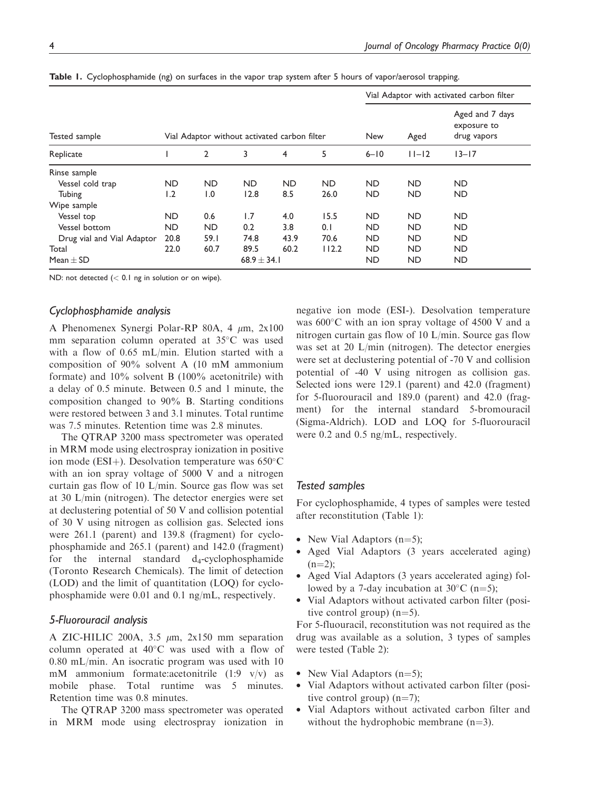|                            |           |                |                                              |           |             | Vial Adaptor with activated carbon filter |                                               |           |  |  |
|----------------------------|-----------|----------------|----------------------------------------------|-----------|-------------|-------------------------------------------|-----------------------------------------------|-----------|--|--|
| Tested sample              |           |                | Vial Adaptor without activated carbon filter |           | New<br>Aged |                                           | Aged and 7 days<br>exposure to<br>drug vapors |           |  |  |
| Replicate                  |           | $\overline{2}$ | 3                                            | 4         | 5           | $6 - 10$                                  | $11 - 12$                                     | $13 - 17$ |  |  |
| Rinse sample               |           |                |                                              |           |             |                                           |                                               |           |  |  |
| Vessel cold trap           | <b>ND</b> | <b>ND</b>      | <b>ND</b>                                    | <b>ND</b> | <b>ND</b>   | <b>ND</b>                                 | <b>ND</b>                                     | <b>ND</b> |  |  |
| Tubing                     | 1.2       | 1.0            | 12.8                                         | 8.5       | 26.0        | <b>ND</b>                                 | <b>ND</b>                                     | <b>ND</b> |  |  |
| Wipe sample                |           |                |                                              |           |             |                                           |                                               |           |  |  |
| Vessel top                 | <b>ND</b> | 0.6            | 1.7                                          | 4.0       | 15.5        | <b>ND</b>                                 | <b>ND</b>                                     | <b>ND</b> |  |  |
| Vessel bottom              | <b>ND</b> | <b>ND</b>      | 0.2                                          | 3.8       | 0.1         | <b>ND</b>                                 | <b>ND</b>                                     | <b>ND</b> |  |  |
| Drug vial and Vial Adaptor | 20.8      | 59.I           | 74.8                                         | 43.9      | 70.6        | <b>ND</b>                                 | <b>ND</b>                                     | <b>ND</b> |  |  |
| Total                      | 22.0      | 60.7           | 89.5                                         | 60.2      | 112.2       | <b>ND</b>                                 | <b>ND</b>                                     | <b>ND</b> |  |  |
| Mean $\pm$ SD              |           |                | 68.9 $\pm$ 34.1                              |           |             | <b>ND</b>                                 | <b>ND</b>                                     | ND        |  |  |

Table 1. Cyclophosphamide (ng) on surfaces in the vapor trap system after 5 hours of vapor/aerosol trapping.

ND: not detected  $(< 0.1$  ng in solution or on wipe).

## Cyclophosphamide analysis

A Phenomenex Synergi Polar-RP 80A, 4  $\mu$ m, 2x100 mm separation column operated at 35°C was used with a flow of 0.65 mL/min. Elution started with a composition of 90% solvent A (10 mM ammonium formate) and 10% solvent B (100% acetonitrile) with a delay of 0.5 minute. Between 0.5 and 1 minute, the composition changed to 90% B. Starting conditions were restored between 3 and 3.1 minutes. Total runtime was 7.5 minutes. Retention time was 2.8 minutes.

The QTRAP 3200 mass spectrometer was operated in MRM mode using electrospray ionization in positive ion mode (ESI+). Desolvation temperature was  $650^{\circ}$ C with an ion spray voltage of 5000 V and a nitrogen curtain gas flow of 10 L/min. Source gas flow was set at 30 L/min (nitrogen). The detector energies were set at declustering potential of 50 V and collision potential of 30 V using nitrogen as collision gas. Selected ions were 261.1 (parent) and 139.8 (fragment) for cyclophosphamide and 265.1 (parent) and 142.0 (fragment) for the internal standard  $d_4$ -cyclophosphamide (Toronto Research Chemicals). The limit of detection (LOD) and the limit of quantitation (LOQ) for cyclophosphamide were 0.01 and 0.1 ng/mL, respectively.

## 5-Fluorouracil analysis

A ZIC-HILIC 200A, 3.5  $\mu$ m, 2x150 mm separation column operated at  $40^{\circ}$ C was used with a flow of 0.80 mL/min. An isocratic program was used with 10 mM ammonium formate:acetonitrile  $(1:9 \text{ v/v})$  as mobile phase. Total runtime was 5 minutes. Retention time was 0.8 minutes.

The QTRAP 3200 mass spectrometer was operated in MRM mode using electrospray ionization in negative ion mode (ESI-). Desolvation temperature was  $600^{\circ}$ C with an ion spray voltage of 4500 V and a nitrogen curtain gas flow of 10 L/min. Source gas flow was set at 20 L/min (nitrogen). The detector energies were set at declustering potential of -70 V and collision potential of -40 V using nitrogen as collision gas. Selected ions were 129.1 (parent) and 42.0 (fragment) for 5-fluorouracil and 189.0 (parent) and 42.0 (fragment) for the internal standard 5-bromouracil (Sigma-Aldrich). LOD and LOQ for 5-fluorouracil were 0.2 and 0.5 ng/mL, respectively.

## Tested samples

For cyclophosphamide, 4 types of samples were tested after reconstitution (Table 1):

- New Vial Adaptors  $(n=5)$ ;
- Aged Vial Adaptors (3 years accelerated aging)  $(n=2)$ :
- Aged Vial Adaptors (3 years accelerated aging) followed by a 7-day incubation at  $30^{\circ}$ C (n=5);
- Vial Adaptors without activated carbon filter (positive control group)  $(n=5)$ .

For 5-fluouracil, reconstitution was not required as the drug was available as a solution, 3 types of samples were tested (Table 2):

- New Vial Adaptors  $(n=5)$ ;
- Vial Adaptors without activated carbon filter (positive control group)  $(n=7)$ ;
- Vial Adaptors without activated carbon filter and without the hydrophobic membrane  $(n=3)$ .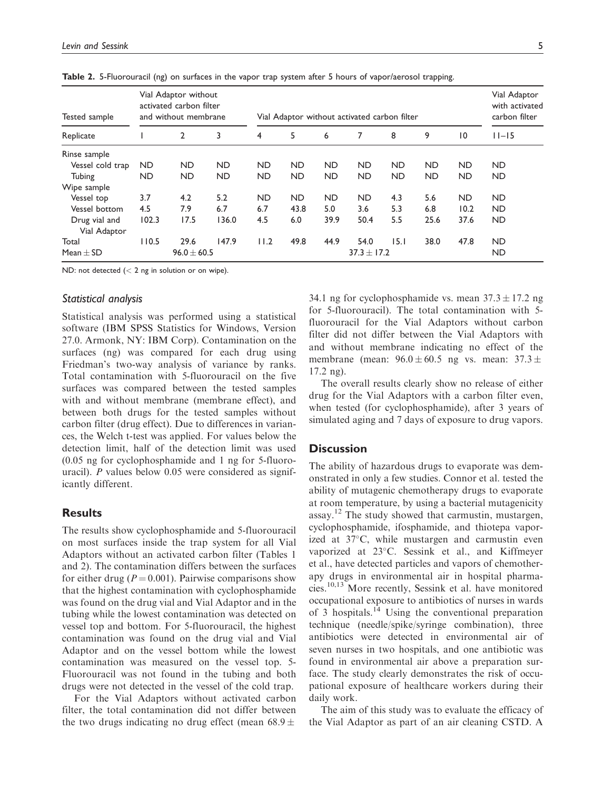| Tested sample<br>Replicate    | Vial Adaptor without<br>activated carbon filter<br>and without membrane |                 |           | Vial Adaptor without activated carbon filter |                 |           |           |           |           |           | Vial Adaptor<br>with activated<br>carbon filter |
|-------------------------------|-------------------------------------------------------------------------|-----------------|-----------|----------------------------------------------|-----------------|-----------|-----------|-----------|-----------|-----------|-------------------------------------------------|
|                               |                                                                         | $\overline{2}$  | 3         | 4                                            | 5               | 6         | 7         | 8         | 9         | 10        | $11 - 15$                                       |
| Rinse sample                  |                                                                         |                 |           |                                              |                 |           |           |           |           |           |                                                 |
| Vessel cold trap              | ND.                                                                     | ND.             | <b>ND</b> | <b>ND</b>                                    | <b>ND</b>       | <b>ND</b> | <b>ND</b> | <b>ND</b> | <b>ND</b> | ND.       | <b>ND</b>                                       |
| Tubing                        | <b>ND</b>                                                               | ND              | <b>ND</b> | <b>ND</b>                                    | <b>ND</b>       | <b>ND</b> | <b>ND</b> | <b>ND</b> | <b>ND</b> | <b>ND</b> | <b>ND</b>                                       |
| Wipe sample                   |                                                                         |                 |           |                                              |                 |           |           |           |           |           |                                                 |
| Vessel top                    | 3.7                                                                     | 4.2             | 5.2       | <b>ND</b>                                    | <b>ND</b>       | <b>ND</b> | <b>ND</b> | 4.3       | 5.6       | <b>ND</b> | <b>ND</b>                                       |
| Vessel bottom                 | 4.5                                                                     | 7.9             | 6.7       | 6.7                                          | 43.8            | 5.0       | 3.6       | 5.3       | 6.8       | 10.2      | <b>ND</b>                                       |
| Drug vial and<br>Vial Adaptor | 102.3                                                                   | 17.5            | 136.0     | 4.5                                          | 6.0             | 39.9      | 50.4      | 5.5       | 25.6      | 37.6      | <b>ND</b>                                       |
| Total                         | 110.5                                                                   | 29.6            | 147.9     | 11.2                                         | 49.8            | 44.9      | 54.0      | 15.1      | 38.0      | 47.8      | <b>ND</b>                                       |
| Mean $\pm$ SD                 |                                                                         | $96.0 \pm 60.5$ |           |                                              | $37.3 \pm 17.2$ |           |           |           |           |           | <b>ND</b>                                       |

Table 2. 5-Fluorouracil (ng) on surfaces in the vapor trap system after 5 hours of vapor/aerosol trapping.

ND: not detected  $(< 2$  ng in solution or on wipe).

#### Statistical analysis

Statistical analysis was performed using a statistical software (IBM SPSS Statistics for Windows, Version 27.0. Armonk, NY: IBM Corp). Contamination on the surfaces (ng) was compared for each drug using Friedman's two-way analysis of variance by ranks. Total contamination with 5-fluorouracil on the five surfaces was compared between the tested samples with and without membrane (membrane effect), and between both drugs for the tested samples without carbon filter (drug effect). Due to differences in variances, the Welch t-test was applied. For values below the detection limit, half of the detection limit was used (0.05 ng for cyclophosphamide and 1 ng for 5-fluorouracil). P values below 0.05 were considered as significantly different.

#### **Results**

The results show cyclophosphamide and 5-fluorouracil on most surfaces inside the trap system for all Vial Adaptors without an activated carbon filter (Tables 1 and 2). The contamination differs between the surfaces for either drug ( $P = 0.001$ ). Pairwise comparisons show that the highest contamination with cyclophosphamide was found on the drug vial and Vial Adaptor and in the tubing while the lowest contamination was detected on vessel top and bottom. For 5-fluorouracil, the highest contamination was found on the drug vial and Vial Adaptor and on the vessel bottom while the lowest contamination was measured on the vessel top. 5- Fluorouracil was not found in the tubing and both drugs were not detected in the vessel of the cold trap.

For the Vial Adaptors without activated carbon filter, the total contamination did not differ between the two drugs indicating no drug effect (mean  $68.9 \pm$ 

34.1 ng for cyclophosphamide vs. mean  $37.3 \pm 17.2$  ng for 5-fluorouracil). The total contamination with 5 fluorouracil for the Vial Adaptors without carbon filter did not differ between the Vial Adaptors with and without membrane indicating no effect of the membrane (mean:  $96.0 \pm 60.5$  ng vs. mean:  $37.3 \pm$ 17.2 ng).

The overall results clearly show no release of either drug for the Vial Adaptors with a carbon filter even, when tested (for cyclophosphamide), after 3 years of simulated aging and 7 days of exposure to drug vapors.

## **Discussion**

The ability of hazardous drugs to evaporate was demonstrated in only a few studies. Connor et al. tested the ability of mutagenic chemotherapy drugs to evaporate at room temperature, by using a bacterial mutagenicity assay.<sup>12</sup> The study showed that carmustin, mustargen, cyclophosphamide, ifosphamide, and thiotepa vaporized at  $37^{\circ}$ C, while mustargen and carmustin even vaporized at 23°C. Sessink et al., and Kiffmeyer et al., have detected particles and vapors of chemotherapy drugs in environmental air in hospital pharmacies.10,13 More recently, Sessink et al. have monitored occupational exposure to antibiotics of nurses in wards of 3 hospitals.<sup>14</sup> Using the conventional preparation technique (needle/spike/syringe combination), three antibiotics were detected in environmental air of seven nurses in two hospitals, and one antibiotic was found in environmental air above a preparation surface. The study clearly demonstrates the risk of occupational exposure of healthcare workers during their daily work.

The aim of this study was to evaluate the efficacy of the Vial Adaptor as part of an air cleaning CSTD. A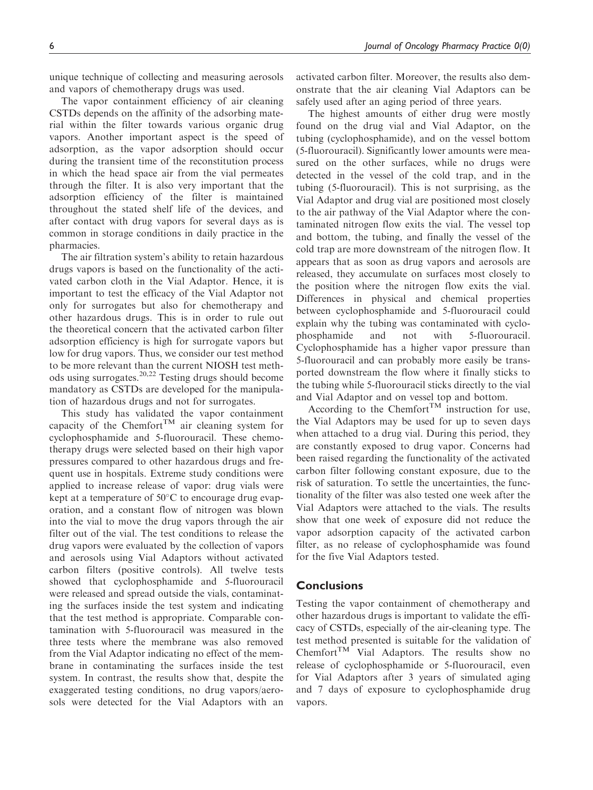unique technique of collecting and measuring aerosols and vapors of chemotherapy drugs was used.

The vapor containment efficiency of air cleaning CSTDs depends on the affinity of the adsorbing material within the filter towards various organic drug vapors. Another important aspect is the speed of adsorption, as the vapor adsorption should occur during the transient time of the reconstitution process in which the head space air from the vial permeates through the filter. It is also very important that the adsorption efficiency of the filter is maintained throughout the stated shelf life of the devices, and after contact with drug vapors for several days as is common in storage conditions in daily practice in the pharmacies.

The air filtration system's ability to retain hazardous drugs vapors is based on the functionality of the activated carbon cloth in the Vial Adaptor. Hence, it is important to test the efficacy of the Vial Adaptor not only for surrogates but also for chemotherapy and other hazardous drugs. This is in order to rule out the theoretical concern that the activated carbon filter adsorption efficiency is high for surrogate vapors but low for drug vapors. Thus, we consider our test method to be more relevant than the current NIOSH test methods using surrogates. $20,22$  Testing drugs should become mandatory as CSTDs are developed for the manipulation of hazardous drugs and not for surrogates.

This study has validated the vapor containment capacity of the Chemfort<sup>TM</sup> air cleaning system for cyclophosphamide and 5-fluorouracil. These chemotherapy drugs were selected based on their high vapor pressures compared to other hazardous drugs and frequent use in hospitals. Extreme study conditions were applied to increase release of vapor: drug vials were kept at a temperature of  $50^{\circ}$ C to encourage drug evaporation, and a constant flow of nitrogen was blown into the vial to move the drug vapors through the air filter out of the vial. The test conditions to release the drug vapors were evaluated by the collection of vapors and aerosols using Vial Adaptors without activated carbon filters (positive controls). All twelve tests showed that cyclophosphamide and 5-fluorouracil were released and spread outside the vials, contaminating the surfaces inside the test system and indicating that the test method is appropriate. Comparable contamination with 5-fluorouracil was measured in the three tests where the membrane was also removed from the Vial Adaptor indicating no effect of the membrane in contaminating the surfaces inside the test system. In contrast, the results show that, despite the exaggerated testing conditions, no drug vapors/aerosols were detected for the Vial Adaptors with an activated carbon filter. Moreover, the results also demonstrate that the air cleaning Vial Adaptors can be safely used after an aging period of three years.

The highest amounts of either drug were mostly found on the drug vial and Vial Adaptor, on the tubing (cyclophosphamide), and on the vessel bottom (5-fluorouracil). Significantly lower amounts were measured on the other surfaces, while no drugs were detected in the vessel of the cold trap, and in the tubing (5-fluorouracil). This is not surprising, as the Vial Adaptor and drug vial are positioned most closely to the air pathway of the Vial Adaptor where the contaminated nitrogen flow exits the vial. The vessel top and bottom, the tubing, and finally the vessel of the cold trap are more downstream of the nitrogen flow. It appears that as soon as drug vapors and aerosols are released, they accumulate on surfaces most closely to the position where the nitrogen flow exits the vial. Differences in physical and chemical properties between cyclophosphamide and 5-fluorouracil could explain why the tubing was contaminated with cyclophosphamide and not with 5-fluorouracil. Cyclophosphamide has a higher vapor pressure than 5-fluorouracil and can probably more easily be transported downstream the flow where it finally sticks to the tubing while 5-fluorouracil sticks directly to the vial and Vial Adaptor and on vessel top and bottom.

According to the Chemfort<sup>TM</sup> instruction for use, the Vial Adaptors may be used for up to seven days when attached to a drug vial. During this period, they are constantly exposed to drug vapor. Concerns had been raised regarding the functionality of the activated carbon filter following constant exposure, due to the risk of saturation. To settle the uncertainties, the functionality of the filter was also tested one week after the Vial Adaptors were attached to the vials. The results show that one week of exposure did not reduce the vapor adsorption capacity of the activated carbon filter, as no release of cyclophosphamide was found for the five Vial Adaptors tested.

#### **Conclusions**

Testing the vapor containment of chemotherapy and other hazardous drugs is important to validate the efficacy of CSTDs, especially of the air-cleaning type. The test method presented is suitable for the validation of  $Chemfort<sup>TM</sup>$  Vial Adaptors. The results show no release of cyclophosphamide or 5-fluorouracil, even for Vial Adaptors after 3 years of simulated aging and 7 days of exposure to cyclophosphamide drug vapors.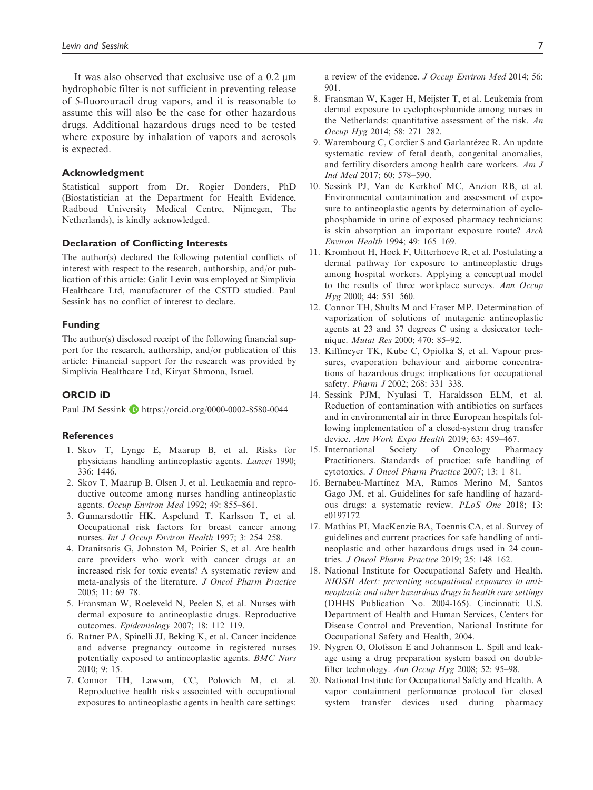It was also observed that exclusive use of a  $0.2 \mu m$ hydrophobic filter is not sufficient in preventing release of 5-fluorouracil drug vapors, and it is reasonable to assume this will also be the case for other hazardous drugs. Additional hazardous drugs need to be tested where exposure by inhalation of vapors and aerosols is expected.

#### Acknowledgment

Statistical support from Dr. Rogier Donders, PhD (Biostatistician at the Department for Health Evidence, Radboud University Medical Centre, Nijmegen, The Netherlands), is kindly acknowledged.

#### Declaration of Conflicting Interests

The author(s) declared the following potential conflicts of interest with respect to the research, authorship, and/or publication of this article: Galit Levin was employed at Simplivia Healthcare Ltd, manufacturer of the CSTD studied. Paul Sessink has no conflict of interest to declare.

#### Funding

The author(s) disclosed receipt of the following financial support for the research, authorship, and/or publication of this article: Financial support for the research was provided by Simplivia Healthcare Ltd, Kiryat Shmona, Israel.

#### ORCID iD

Paul JM Sessink **h**ttps://orcid.org/0000-0002-8580-0044

#### **References**

- 1. Skov T, Lynge E, Maarup B, et al. Risks for physicians handling antineoplastic agents. Lancet 1990; 336: 1446.
- 2. Skov T, Maarup B, Olsen J, et al. Leukaemia and reproductive outcome among nurses handling antineoplastic agents. Occup Environ Med 1992; 49: 855–861.
- 3. Gunnarsdottir HK, Aspelund T, Karlsson T, et al. Occupational risk factors for breast cancer among nurses. Int J Occup Environ Health 1997; 3: 254–258.
- 4. Dranitsaris G, Johnston M, Poirier S, et al. Are health care providers who work with cancer drugs at an increased risk for toxic events? A systematic review and meta-analysis of the literature. J Oncol Pharm Practice 2005; 11: 69–78.
- 5. Fransman W, Roeleveld N, Peelen S, et al. Nurses with dermal exposure to antineoplastic drugs. Reproductive outcomes. Epidemiology 2007; 18: 112–119.
- 6. Ratner PA, Spinelli JJ, Beking K, et al. Cancer incidence and adverse pregnancy outcome in registered nurses potentially exposed to antineoplastic agents. BMC Nurs 2010; 9: 15.
- 7. Connor TH, Lawson, CC, Polovich M, et al. Reproductive health risks associated with occupational exposures to antineoplastic agents in health care settings:

a review of the evidence. J Occup Environ Med 2014; 56: 901.

- 8. Fransman W, Kager H, Meijster T, et al. Leukemia from dermal exposure to cyclophosphamide among nurses in the Netherlands: quantitative assessment of the risk. An Occup Hyg 2014; 58: 271–282.
- 9. Warembourg C, Cordier S and Garlantézec R. An update systematic review of fetal death, congenital anomalies, and fertility disorders among health care workers. Am J Ind Med 2017; 60: 578–590.
- 10. Sessink PJ, Van de Kerkhof MC, Anzion RB, et al. Environmental contamination and assessment of exposure to antineoplastic agents by determination of cyclophosphamide in urine of exposed pharmacy technicians: is skin absorption an important exposure route? Arch Environ Health 1994; 49: 165–169.
- 11. Kromhout H, Hoek F, Uitterhoeve R, et al. Postulating a dermal pathway for exposure to antineoplastic drugs among hospital workers. Applying a conceptual model to the results of three workplace surveys. Ann Occup Hyg 2000; 44: 551–560.
- 12. Connor TH, Shults M and Fraser MP. Determination of vaporization of solutions of mutagenic antineoplastic agents at 23 and 37 degrees C using a desiccator technique. Mutat Res 2000; 470: 85–92.
- 13. Kiffmeyer TK, Kube C, Opiolka S, et al. Vapour pressures, evaporation behaviour and airborne concentrations of hazardous drugs: implications for occupational safety. Pharm J 2002; 268: 331–338.
- 14. Sessink PJM, Nyulasi T, Haraldsson ELM, et al. Reduction of contamination with antibiotics on surfaces and in environmental air in three European hospitals following implementation of a closed-system drug transfer device. Ann Work Expo Health 2019; 63: 459–467.
- 15. International Society of Oncology Pharmacy Practitioners. Standards of practice: safe handling of cytotoxics. J Oncol Pharm Practice 2007; 13: 1–81.
- 16. Bernabeu-Martínez MA, Ramos Merino M, Santos Gago JM, et al. Guidelines for safe handling of hazardous drugs: a systematic review. PLoS One 2018; 13: e0197172
- 17. Mathias PI, MacKenzie BA, Toennis CA, et al. Survey of guidelines and current practices for safe handling of antineoplastic and other hazardous drugs used in 24 countries. J Oncol Pharm Practice 2019; 25: 148–162.
- 18. National Institute for Occupational Safety and Health. NIOSH Alert: preventing occupational exposures to antineoplastic and other hazardous drugs in health care settings (DHHS Publication No. 2004-165). Cincinnati: U.S. Department of Health and Human Services, Centers for Disease Control and Prevention, National Institute for Occupational Safety and Health, 2004.
- 19. Nygren O, Olofsson E and Johannson L. Spill and leakage using a drug preparation system based on doublefilter technology. Ann Occup Hyg 2008; 52: 95–98.
- 20. National Institute for Occupational Safety and Health. A vapor containment performance protocol for closed system transfer devices used during pharmacy